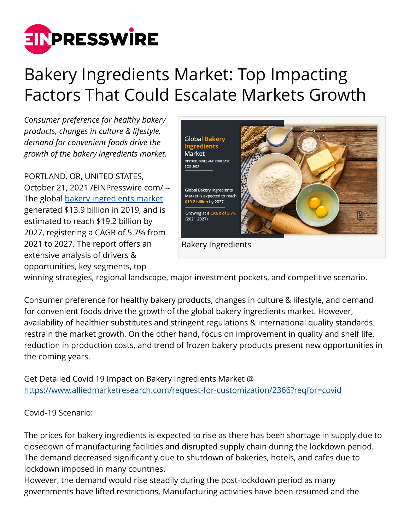

## Bakery Ingredients Market: Top Impacting Factors That Could Escalate Markets Growth

*Consumer preference for healthy bakery products, changes in culture & lifestyle, demand for convenient foods drive the growth of the bakery ingredients market.*

PORTLAND, OR, UNITED STATES, October 21, 2021 [/EINPresswire.com](http://www.einpresswire.com)/ -- The global [bakery ingredients market](https://www.alliedmarketresearch.com/bakery-ingredients-market) generated \$13.9 billion in 2019, and is estimated to reach \$19.2 billion by 2027, registering a CAGR of 5.7% from 2021 to 2027. The report offers an extensive analysis of drivers & opportunities, key segments, top



winning strategies, regional landscape, major investment pockets, and competitive scenario.

Consumer preference for healthy bakery products, changes in culture & lifestyle, and demand for convenient foods drive the growth of the global bakery ingredients market. However, availability of healthier substitutes and stringent regulations & international quality standards restrain the market growth. On the other hand, focus on improvement in quality and shelf life, reduction in production costs, and trend of frozen bakery products present new opportunities in the coming years.

Get Detailed Covid 19 Impact on Bakery Ingredients Market @ <https://www.alliedmarketresearch.com/request-for-customization/2366?reqfor=covid>

Covid-19 Scenario:

The prices for bakery ingredients is expected to rise as there has been shortage in supply due to closedown of manufacturing facilities and disrupted supply chain during the lockdown period. The demand decreased significantly due to shutdown of bakeries, hotels, and cafes due to lockdown imposed in many countries.

However, the demand would rise steadily during the post-lockdown period as many governments have lifted restrictions. Manufacturing activities have been resumed and the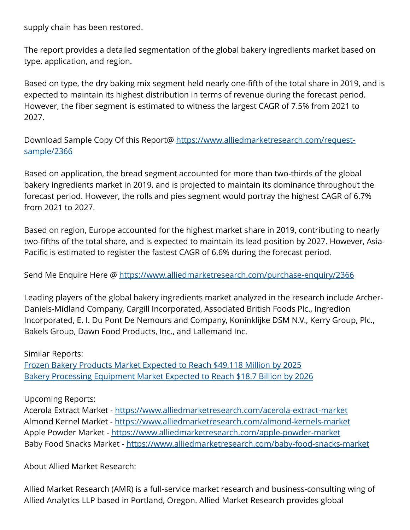supply chain has been restored.

The report provides a detailed segmentation of the global bakery ingredients market based on type, application, and region.

Based on type, the dry baking mix segment held nearly one-fifth of the total share in 2019, and is expected to maintain its highest distribution in terms of revenue during the forecast period. However, the fiber segment is estimated to witness the largest CAGR of 7.5% from 2021 to 2027.

Download Sample Copy Of this Report@ [https://www.alliedmarketresearch.com/request](https://www.alliedmarketresearch.com/request-sample/2366)[sample/2366](https://www.alliedmarketresearch.com/request-sample/2366)

Based on application, the bread segment accounted for more than two-thirds of the global bakery ingredients market in 2019, and is projected to maintain its dominance throughout the forecast period. However, the rolls and pies segment would portray the highest CAGR of 6.7% from 2021 to 2027.

Based on region, Europe accounted for the highest market share in 2019, contributing to nearly two-fifths of the total share, and is expected to maintain its lead position by 2027. However, Asia-Pacific is estimated to register the fastest CAGR of 6.6% during the forecast period.

Send Me Enquire Here @ <https://www.alliedmarketresearch.com/purchase-enquiry/2366>

Leading players of the global bakery ingredients market analyzed in the research include Archer-Daniels-Midland Company, Cargill Incorporated, Associated British Foods Plc., Ingredion Incorporated, E. I. Du Pont De Nemours and Company, Koninklijke DSM N.V., Kerry Group, Plc., Bakels Group, Dawn Food Products, Inc., and Lallemand Inc.

Similar Reports: [Frozen Bakery Products Market Expected to Reach \\$49,118 Million by 2025](https://www.alliedmarketresearch.com/frozen-bakery-products-market) [Bakery Processing Equipment Market Expected to Reach \\$18.7 Billion by 2026](https://www.alliedmarketresearch.com/bakery-processing-equipment-market)

Upcoming Reports:

Acerola Extract Market - <https://www.alliedmarketresearch.com/acerola-extract-market> Almond Kernel Market - <https://www.alliedmarketresearch.com/almond-kernels-market> Apple Powder Market -<https://www.alliedmarketresearch.com/apple-powder-market> Baby Food Snacks Market - <https://www.alliedmarketresearch.com/baby-food-snacks-market>

About Allied Market Research:

Allied Market Research (AMR) is a full-service market research and business-consulting wing of Allied Analytics LLP based in Portland, Oregon. Allied Market Research provides global